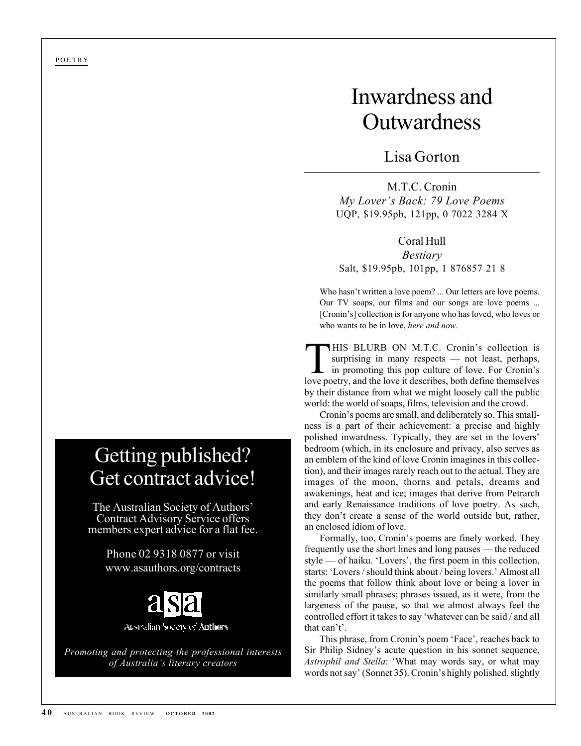## Getting published? Get contract advice!

The Australian Society of Authors' Contract Advisory Service offers members expert advice for a flat fee.

Phone 02 9318 0877 or visit www.asauthors.org/contracts



Australian Society of Authors

*Promoting and protecting the professional interests of Australia's literary creators*

# Inwardness and **Outwardness**

## Lisa Gorton

M.T.C. Cronin *My Lover's Back: 79 Love Poems* UQP, \$19.95pb, 121pp, 0 7022 3284 X

### Coral Hull

*Bestiary* Salt, \$19.95pb, 101pp, 1 876857 21 8

Who hasn't written a love poem? ... Our letters are love poems. Our TV soaps, our films and our songs are love poems ... [Cronin's] collection is for anyone who has loved, who loves or who wants to be in love, *here and now*.

**THIS BLURB ON M.T.C. Cronin's collection is** surprising in many respects — not least, perhaps,  $\Box$  in promoting this pop culture of love. For Cronin's love poetry, and the love it describes, both define themselves by their distance from what we might loosely call the public world: the world of soaps, films, television and the crowd.

Cronin's poems are small, and deliberately so. This smallness is a part of their achievement: a precise and highly polished inwardness. Typically, they are set in the lovers' bedroom (which, in its enclosure and privacy, also serves as an emblem of the kind of love Cronin imagines in this collection), and their images rarely reach out to the actual. They are images of the moon, thorns and petals, dreams and awakenings, heat and ice; images that derive from Petrarch and early Renaissance traditions of love poetry. As such, they don't create a sense of the world outside but, rather, an enclosed idiom of love.

Formally, too, Cronin's poems are finely worked. They frequently use the short lines and long pauses — the reduced style — of haiku. 'Lovers', the first poem in this collection, starts: 'Lovers / should think about / being lovers.' Almost all the poems that follow think about love or being a lover in similarly small phrases; phrases issued, as it were, from the largeness of the pause, so that we almost always feel the controlled effort it takes to say 'whatever can be said / and all that can't'.

This phrase, from Cronin's poem 'Face', reaches back to Sir Philip Sidney's acute question in his sonnet sequence, *Astrophil and Stella*: 'What may words say, or what may words not say' (Sonnet 35). Cronin's highly polished, slightly